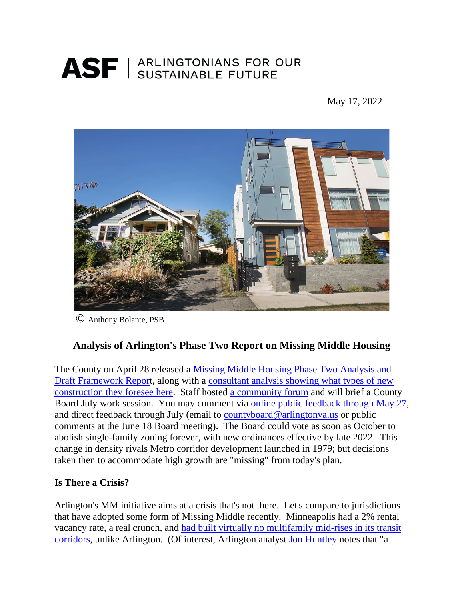# ASF | ARLINGTONIANS FOR OUR

May 17, 2022



© Anthony Bolante, PSB

## **Analysis of Arlington's Phase Two Report on Missing Middle Housing**

The County on April 28 released a [Missing Middle Housing Phase Two Analysis and](https://www.arlingtonva.us/files/sharedassets/public/housing/documents/missing-middle/mmhs-phase-2-public-presentation_05.02.pdf)  [Draft Framework Report](https://www.arlingtonva.us/files/sharedassets/public/housing/documents/missing-middle/mmhs-phase-2-public-presentation_05.02.pdf), along with a [consultant analysis showing what types of new](https://www.arlingtonva.us/files/sharedassets/public/housing/documents/missing-middle/mmhs_consultantanalysis_2022-04-28.pdf)  [construction they foresee](https://www.arlingtonva.us/files/sharedassets/public/housing/documents/missing-middle/mmhs_consultantanalysis_2022-04-28.pdf) here. Staff hosted [a community forum](https://teams.microsoft.com/_#/broadcastPlaybackScreen) and will brief a County Board July work session. You may comment via [online public feedback through May 27,](https://us.openforms.com/Form/294ae95f-06f8-4121-b76e-6ec35d2a7624) and direct feedback through July (email to [countyboard@arlingtonva.us](mailto:countyboard@arlingtonva.us) or public comments at the June 18 Board meeting). The Board could vote as soon as October to abolish single-family zoning forever, with new ordinances effective by late 2022. This change in density rivals Metro corridor development launched in 1979; but decisions taken then to accommodate high growth are "missing" from today's plan.

#### **Is There a Crisis?**

Arlington's MM initiative aims at a crisis that's not there. Let's compare to jurisdictions that have adopted some form of Missing Middle recently. Minneapolis had a 2% rental vacancy rate, a real crunch, and [had built virtually no multifamily mid-rises in its transit](https://reason.com/2022/05/11/eliminating-single-family-zoning-isnt-the-reason-minneapolis-is-a-yimby-success-story/)  [corridors,](https://reason.com/2022/05/11/eliminating-single-family-zoning-isnt-the-reason-minneapolis-is-a-yimby-success-story/) unlike Arlington. (Of interest, Arlington analyst [Jon Huntley](https://www.asf-virginia.org/_files/ugd/a48bae_9836b6e2b93b4bfa9e5da254e8844e75.pdf) notes that "a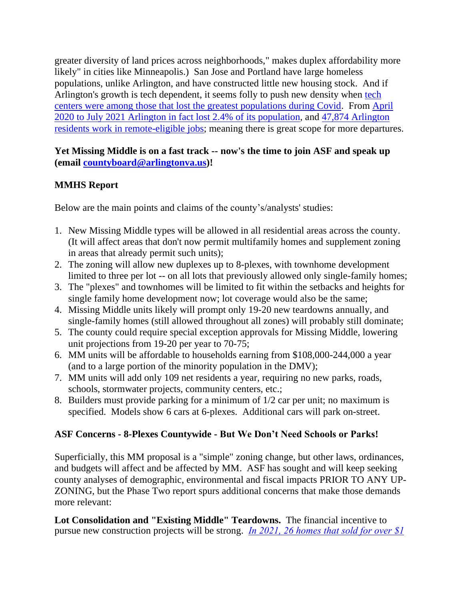greater diversity of land prices across neighborhoods," makes duplex affordability more likely" in cities like Minneapolis.) San Jose and Portland have large homeless populations, unlike Arlington, and have constructed little new housing stock. And if Arlington's growth is tech dependent, it seems folly to push new density when [tech](https://www.smartcitiesdive.com/news/fleeing-superstar-cities-tech-workers-are-moving-to-mid-size-and-smaller/623086/)  centers [were among those that lost the greatest populations during Covid.](https://www.smartcitiesdive.com/news/fleeing-superstar-cities-tech-workers-are-moving-to-mid-size-and-smaller/623086/) From [April](https://www.census.gov/quickfacts/arlingtoncountyvirginia)  [2020 to July 2021 Arlington in fact lost 2.4% of its population,](https://www.census.gov/quickfacts/arlingtoncountyvirginia) and [47,874 Arlington](https://www.dcpolicycenter.org/publications/remote-work-future-dc-part1/)  [residents work in remote-eligible jobs;](https://www.dcpolicycenter.org/publications/remote-work-future-dc-part1/) meaning there is great scope for more departures.

**Yet Missing Middle is on a fast track -- now's the time to join ASF and speak up (email [countyboard@arlingtonva.us\)](mailto:countyboard@arlingtonva.us)!**

#### **MMHS Report**

Below are the main points and claims of the county's/analysts' studies:

- 1. New Missing Middle types will be allowed in all residential areas across the county. (It will affect areas that don't now permit multifamily homes and supplement zoning in areas that already permit such units);
- 2. The zoning will allow new duplexes up to 8-plexes, with townhome development limited to three per lot -- on all lots that previously allowed only single-family homes;
- 3. The "plexes" and townhomes will be limited to fit within the setbacks and heights for single family home development now; lot coverage would also be the same;
- 4. Missing Middle units likely will prompt only 19-20 new teardowns annually, and single-family homes (still allowed throughout all zones) will probably still dominate;
- 5. The county could require special exception approvals for Missing Middle, lowering unit projections from 19-20 per year to 70-75;
- 6. MM units will be affordable to households earning from \$108,000-244,000 a year (and to a large portion of the minority population in the DMV);
- 7. MM units will add only 109 net residents a year, requiring no new parks, roads, schools, stormwater projects, community centers, etc.;
- 8. Builders must provide parking for a minimum of 1/2 car per unit; no maximum is specified. Models show 6 cars at 6-plexes. Additional cars will park on-street.

### **ASF Concerns - 8-Plexes Countywide - But We Don't Need Schools or Parks!**

Superficially, this MM proposal is a "simple" zoning change, but other laws, ordinances, and budgets will affect and be affected by MM. ASF has sought and will keep seeking county analyses of demographic, environmental and fiscal impacts PRIOR TO ANY UP-ZONING, but the Phase Two report spurs additional concerns that make those demands more relevant:

**Lot Consolidation and "Existing Middle" Teardowns.** The financial incentive to pursue new construction projects will be strong. *[In 2021, 26 homes that sold for over \\$1](https://www.facebook.com/groups/PreservationArlington/)*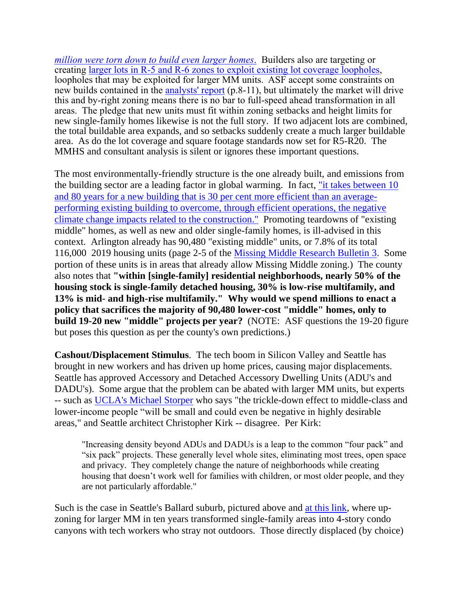*million [were torn down to build even larger homes](https://www.facebook.com/groups/PreservationArlington/)*. Builders also are targeting or creating larger [lots in R-5 and R-6 zones to exploit existing](https://www.insidenova.com/news/arlington/arlington-board-asked-to-close-lot-coverage-loophole/article_819a32ee-366c-11ec-a8fd-8b03cd04c6f5.html) lot coverage loopholes, loopholes that may be exploited for larger MM units. ASF accept some constraints on new builds contained in the [analysts' report](file:///C:/Users/Anne%20Laptop/Documents/arl%20development/mmhs_consultantanalysis_2022-04-28.pdf) (p.8-11), but ultimately the market will drive this and by-right zoning means there is no bar to full-speed ahead transformation in all areas. The pledge that new units must fit within zoning setbacks and height limits for new single-family homes likewise is not the full story. If two adjacent lots are combined, the total buildable area expands, and so setbacks suddenly create a much larger buildable area. As do the lot coverage and square footage standards now set for R5-R20. The MMHS and consultant analysis is silent or ignores these important questions.

The most environmentally-friendly structure is the one already built, and emissions from the building sector are a leading factor in global warming. In fact, "it takes between 10 [and 80 years for a new building that is 30 per cent more efficient than an average](https://www.architectsjournal.co.uk/news/opinion/the-greenest-building-is-the-one-that-already-exists)[performing existing building to overcome, through efficient operations, the negative](https://www.architectsjournal.co.uk/news/opinion/the-greenest-building-is-the-one-that-already-exists)  [climate change impacts related to the construction."](https://www.architectsjournal.co.uk/news/opinion/the-greenest-building-is-the-one-that-already-exists) Promoting teardowns of "existing middle" homes, as well as new and older single-family homes, is ill-advised in this context. Arlington already has 90,480 "existing middle" units, or 7.8% of its total 116,000 2019 housing units (page 2-5 of the [Missing Middle Research Bulletin 3.](https://arlingtonva.s3.amazonaws.com/wp-content/uploads/sites/15/2020/07/MMHS_ResearchCompendium_Bulletin3_final.pdf) Some portion of these units is in areas that already allow Missing Middle zoning.) The county also notes that **"within [single-family] residential neighborhoods, nearly 50% of the housing stock is single-family detached housing, 30% is low-rise multifamily, and 13% is mid- and high-rise multifamily." Why would we spend millions to enact a policy that sacrifices the majority of 90,480 lower-cost "middle" homes, only to build 19-20 new "middle" projects per year?** (NOTE: ASF questions the 19-20 figure but poses this question as per the county's own predictions.)

**Cashout/Displacement Stimulus**. The tech boom in Silicon Valley and Seattle has brought in new workers and has driven up home prices, causing major displacements. Seattle has approved Accessory and Detached Accessory Dwelling Units (ADU's and DADU's). Some argue that the problem can be abated with larger MM units, but experts -- such as [UCLA's Michael Storper](https://luskin.ucla.edu/storper-challenges-blanket-upzoning-as-solution-to-housing-crisis) who says "the trickle-down effect to middle-class and lower-income people "will be small and could even be negative in highly desirable areas," and Seattle architect Christopher Kirk -- disagree. Per Kirk:

"Increasing density beyond ADUs and DADUs is a leap to the common "four pack" and "six pack" projects. These generally level whole sites, eliminating most trees, open space and privacy. They completely change the nature of neighborhoods while creating housing that doesn't work well for families with children, or most older people, and they are not particularly affordable."

Such is the case in Seattle's Ballard suburb, pictured above and [at this link,](https://www.bizjournals.com/seattle/news/2017/10/06/seattle-teardowns-mapped-ballard-housing.html) where upzoning for larger MM in ten years transformed single-family areas into 4-story condo canyons with tech workers who stray not outdoors. Those directly displaced (by choice)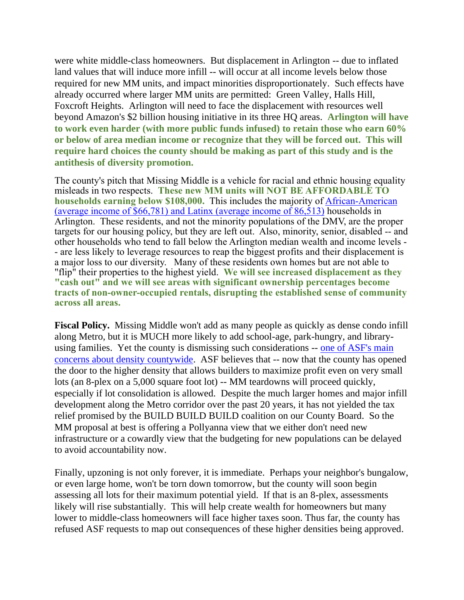were white middle-class homeowners. But displacement in Arlington -- due to inflated land values that will induce more infill -- will occur at all income levels below those required for new MM units, and impact minorities disproportionately. Such effects have already occurred where larger MM units are permitted: Green Valley, Halls Hill, Foxcroft Heights. Arlington will need to face the displacement with resources well beyond Amazon's \$2 billion housing initiative in its three HQ areas. **Arlington will have to work even harder (with more public funds infused) to retain those who earn 60% or below of area median income or recognize that they will be forced out. This will require hard choices the county should be making as part of this study and is the antithesis of diversity promotion.**

The county's pitch that Missing Middle is a vehicle for racial and ethnic housing equality misleads in two respects. **These new MM units will NOT BE AFFORDABLE TO households earning below \$108,000.** This includes the majority of [African-American](https://www.healthierarlington.org/) [\(average income of \\$66,781\)](https://www.healthierarlington.org/) and Latinx (average income of 86,513) households in Arlington. These residents, and not the minority populations of the DMV, are the proper targets for our housing policy, but they are left out. Also, minority, senior, disabled -- and other households who tend to fall below the Arlington median wealth and income levels - - are less likely to leverage resources to reap the biggest profits and their displacement is a major loss to our diversity. Many of these residents own homes but are not able to "flip" their properties to the highest yield. **We will see increased displacement as they "cash out" and we will see areas with significant ownership percentages become tracts of non-owner-occupied rentals, disrupting the established sense of community across all areas.** 

**Fiscal Policy.** Missing Middle won't add as many people as quickly as dense condo infill along Metro, but it is MUCH more likely to add school-age, park-hungry, and libraryusing families. Yet the county is dismissing such considerations -- [one of ASF's main](https://www.asf-virginia.org/_files/ugd/a48bae_665080c004f44c45bc3014b9293d0227.pdf)  [concerns about density countywide.](https://www.asf-virginia.org/_files/ugd/a48bae_665080c004f44c45bc3014b9293d0227.pdf) ASF believes that -- now that the county has opened the door to the higher density that allows builders to maximize profit even on very small lots (an 8-plex on a 5,000 square foot lot) -- MM teardowns will proceed quickly, especially if lot consolidation is allowed. Despite the much larger homes and major infill development along the Metro corridor over the past 20 years, it has not yielded the tax relief promised by the BUILD BUILD BUILD coalition on our County Board. So the MM proposal at best is offering a Pollyanna view that we either don't need new infrastructure or a cowardly view that the budgeting for new populations can be delayed to avoid accountability now.

Finally, upzoning is not only forever, it is immediate. Perhaps your neighbor's bungalow, or even large home, won't be torn down tomorrow, but the county will soon begin assessing all lots for their maximum potential yield. If that is an 8-plex, assessments likely will rise substantially. This will help create wealth for homeowners but many lower to middle-class homeowners will face higher taxes soon. Thus far, the county has refused ASF requests to map out consequences of these higher densities being approved.